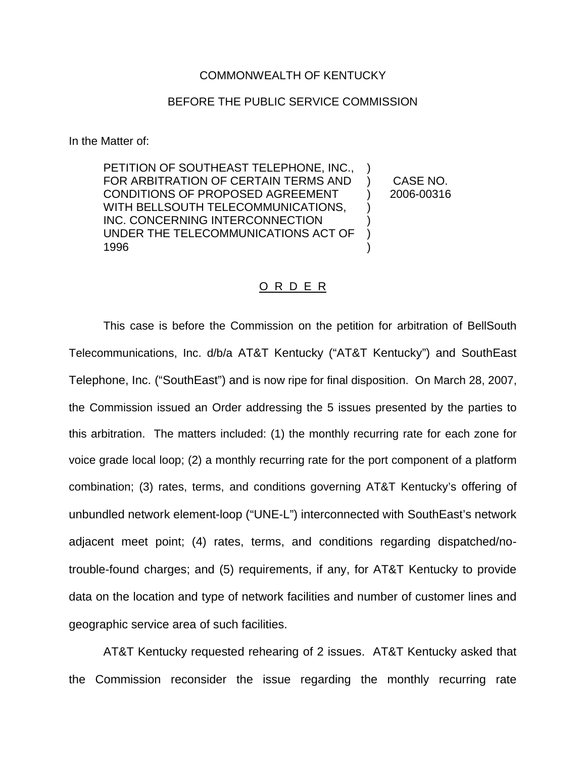## COMMONWEALTH OF KENTUCKY

## BEFORE THE PUBLIC SERVICE COMMISSION

In the Matter of:

PETITION OF SOUTHEAST TELEPHONE, INC., FOR ARBITRATION OF CERTAIN TERMS AND CONDITIONS OF PROPOSED AGREEMENT WITH BELLSOUTH TELECOMMUNICATIONS, INC. CONCERNING INTERCONNECTION UNDER THE TELECOMMUNICATIONS ACT OF 1996 ) ) ) ) )

) CASE NO. ) 2006-00316

## O R D E R

This case is before the Commission on the petition for arbitration of BellSouth Telecommunications, Inc. d/b/a AT&T Kentucky ("AT&T Kentucky") and SouthEast Telephone, Inc. ("SouthEast") and is now ripe for final disposition. On March 28, 2007, the Commission issued an Order addressing the 5 issues presented by the parties to this arbitration. The matters included: (1) the monthly recurring rate for each zone for voice grade local loop; (2) a monthly recurring rate for the port component of a platform combination; (3) rates, terms, and conditions governing AT&T Kentucky's offering of unbundled network element-loop ("UNE-L") interconnected with SouthEast's network adjacent meet point; (4) rates, terms, and conditions regarding dispatched/notrouble-found charges; and (5) requirements, if any, for AT&T Kentucky to provide data on the location and type of network facilities and number of customer lines and geographic service area of such facilities.

AT&T Kentucky requested rehearing of 2 issues. AT&T Kentucky asked that the Commission reconsider the issue regarding the monthly recurring rate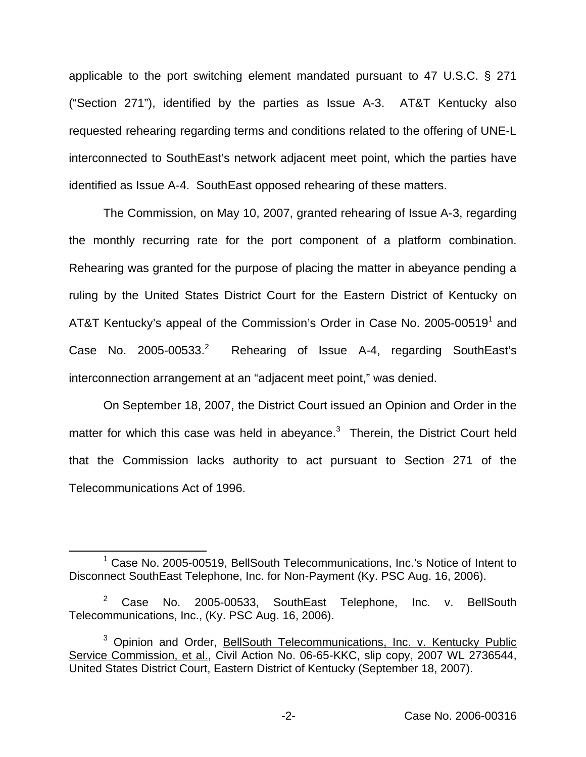applicable to the port switching element mandated pursuant to 47 U.S.C. § 271 ("Section 271"), identified by the parties as Issue A-3. AT&T Kentucky also requested rehearing regarding terms and conditions related to the offering of UNE-L interconnected to SouthEast's network adjacent meet point, which the parties have identified as Issue A-4. SouthEast opposed rehearing of these matters.

The Commission, on May 10, 2007, granted rehearing of Issue A-3, regarding the monthly recurring rate for the port component of a platform combination. Rehearing was granted for the purpose of placing the matter in abeyance pending a ruling by the United States District Court for the Eastern District of Kentucky on AT&T Kentucky's appeal of the Commission's Order in Case No. 2005-00519<sup>1</sup> and Case No.  $2005-00533.<sup>2</sup>$  Rehearing of Issue A-4, regarding SouthEast's interconnection arrangement at an "adjacent meet point," was denied.

On September 18, 2007, the District Court issued an Opinion and Order in the matter for which this case was held in abeyance.<sup>3</sup> Therein, the District Court held that the Commission lacks authority to act pursuant to Section 271 of the Telecommunications Act of 1996.

<sup>&</sup>lt;sup>1</sup> Case No. 2005-00519, BellSouth Telecommunications, Inc.'s Notice of Intent to Disconnect SouthEast Telephone, Inc. for Non-Payment (Ky. PSC Aug. 16, 2006).

<sup>&</sup>lt;sup>2</sup> Case No. 2005-00533, SouthEast Telephone, Inc. v. BellSouth Telecommunications, Inc., (Ky. PSC Aug. 16, 2006).

<sup>&</sup>lt;sup>3</sup> Opinion and Order, BellSouth Telecommunications, Inc. v. Kentucky Public Service Commission, et al., Civil Action No. 06-65-KKC, slip copy, 2007 WL 2736544, United States District Court, Eastern District of Kentucky (September 18, 2007).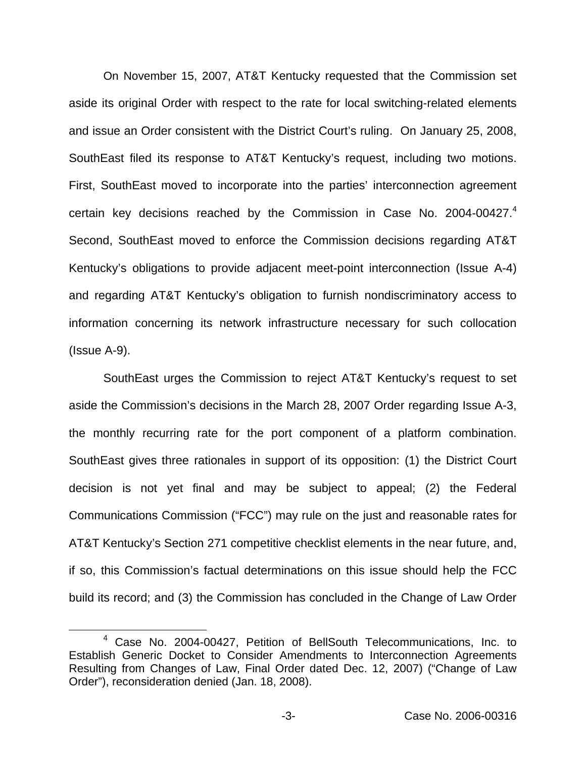On November 15, 2007, AT&T Kentucky requested that the Commission set aside its original Order with respect to the rate for local switching-related elements and issue an Order consistent with the District Court's ruling. On January 25, 2008, SouthEast filed its response to AT&T Kentucky's request, including two motions. First, SouthEast moved to incorporate into the parties' interconnection agreement certain key decisions reached by the Commission in Case No. 2004-00427.<sup>4</sup> Second, SouthEast moved to enforce the Commission decisions regarding AT&T Kentucky's obligations to provide adjacent meet-point interconnection (Issue A-4) and regarding AT&T Kentucky's obligation to furnish nondiscriminatory access to information concerning its network infrastructure necessary for such collocation (Issue A-9).

SouthEast urges the Commission to reject AT&T Kentucky's request to set aside the Commission's decisions in the March 28, 2007 Order regarding Issue A-3, the monthly recurring rate for the port component of a platform combination. SouthEast gives three rationales in support of its opposition: (1) the District Court decision is not yet final and may be subject to appeal; (2) the Federal Communications Commission ("FCC") may rule on the just and reasonable rates for AT&T Kentucky's Section 271 competitive checklist elements in the near future, and, if so, this Commission's factual determinations on this issue should help the FCC build its record; and (3) the Commission has concluded in the Change of Law Order

<sup>4</sup> Case No. 2004-00427, Petition of BellSouth Telecommunications, Inc. to Establish Generic Docket to Consider Amendments to Interconnection Agreements Resulting from Changes of Law, Final Order dated Dec. 12, 2007) ("Change of Law Order"), reconsideration denied (Jan. 18, 2008).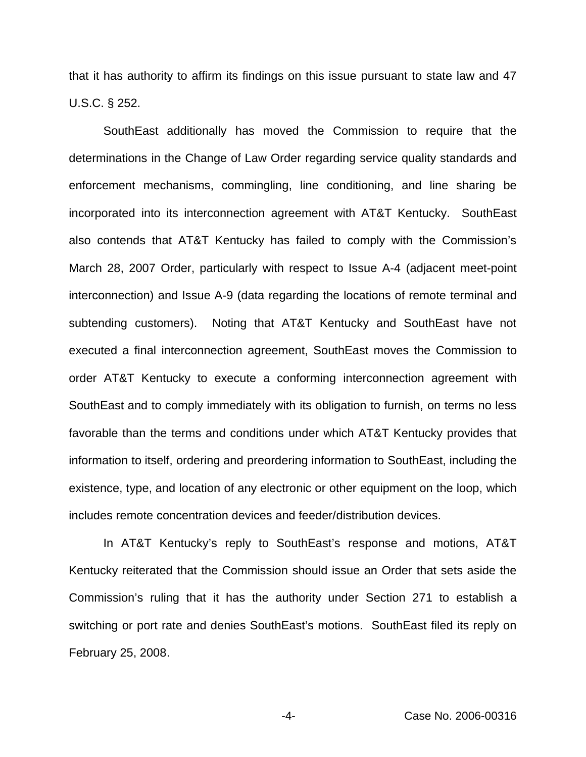that it has authority to affirm its findings on this issue pursuant to state law and 47 U.S.C. § 252.

SouthEast additionally has moved the Commission to require that the determinations in the Change of Law Order regarding service quality standards and enforcement mechanisms, commingling, line conditioning, and line sharing be incorporated into its interconnection agreement with AT&T Kentucky. SouthEast also contends that AT&T Kentucky has failed to comply with the Commission's March 28, 2007 Order, particularly with respect to Issue A-4 (adjacent meet-point interconnection) and Issue A-9 (data regarding the locations of remote terminal and subtending customers). Noting that AT&T Kentucky and SouthEast have not executed a final interconnection agreement, SouthEast moves the Commission to order AT&T Kentucky to execute a conforming interconnection agreement with SouthEast and to comply immediately with its obligation to furnish, on terms no less favorable than the terms and conditions under which AT&T Kentucky provides that information to itself, ordering and preordering information to SouthEast, including the existence, type, and location of any electronic or other equipment on the loop, which includes remote concentration devices and feeder/distribution devices.

In AT&T Kentucky's reply to SouthEast's response and motions, AT&T Kentucky reiterated that the Commission should issue an Order that sets aside the Commission's ruling that it has the authority under Section 271 to establish a switching or port rate and denies SouthEast's motions. SouthEast filed its reply on February 25, 2008.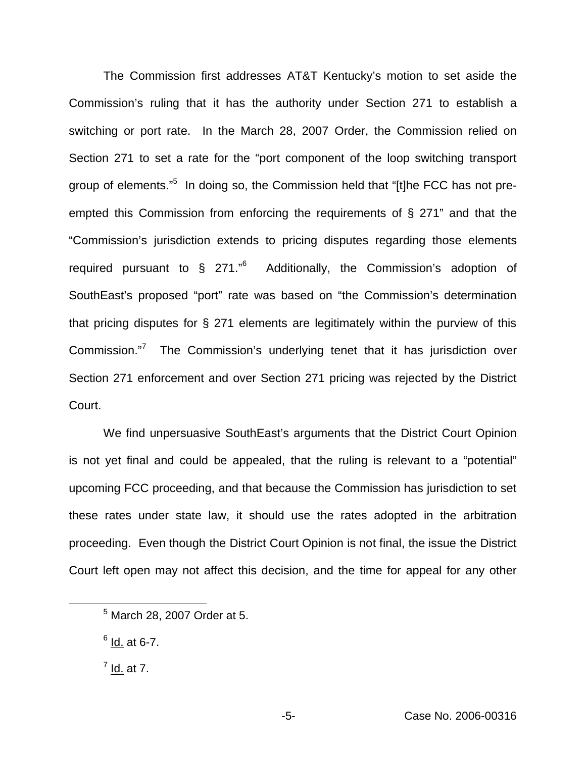The Commission first addresses AT&T Kentucky's motion to set aside the Commission's ruling that it has the authority under Section 271 to establish a switching or port rate. In the March 28, 2007 Order, the Commission relied on Section 271 to set a rate for the "port component of the loop switching transport group of elements."5 In doing so, the Commission held that "[t]he FCC has not preempted this Commission from enforcing the requirements of § 271" and that the "Commission's jurisdiction extends to pricing disputes regarding those elements required pursuant to  $\frac{1}{2}$  271.<sup>"6</sup> Additionally, the Commission's adoption of SouthEast's proposed "port" rate was based on "the Commission's determination that pricing disputes for § 271 elements are legitimately within the purview of this Commission."<sup>7</sup> The Commission's underlying tenet that it has jurisdiction over Section 271 enforcement and over Section 271 pricing was rejected by the District Court.

We find unpersuasive SouthEast's arguments that the District Court Opinion is not yet final and could be appealed, that the ruling is relevant to a "potential" upcoming FCC proceeding, and that because the Commission has jurisdiction to set these rates under state law, it should use the rates adopted in the arbitration proceeding. Even though the District Court Opinion is not final, the issue the District Court left open may not affect this decision, and the time for appeal for any other

<sup>5</sup> March 28, 2007 Order at 5.

 $6$  Id. at 6-7.

 $<sup>7</sup>$  Id. at 7.</sup>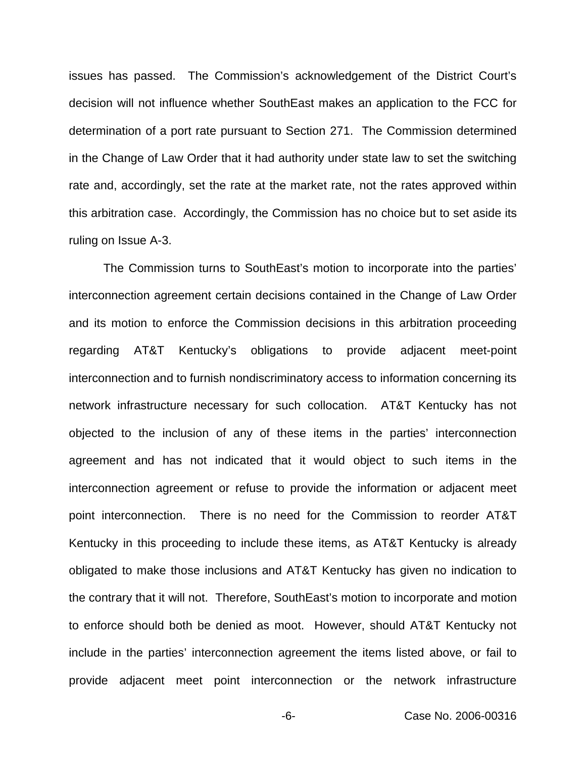issues has passed. The Commission's acknowledgement of the District Court's decision will not influence whether SouthEast makes an application to the FCC for determination of a port rate pursuant to Section 271. The Commission determined in the Change of Law Order that it had authority under state law to set the switching rate and, accordingly, set the rate at the market rate, not the rates approved within this arbitration case. Accordingly, the Commission has no choice but to set aside its ruling on Issue A-3.

The Commission turns to SouthEast's motion to incorporate into the parties' interconnection agreement certain decisions contained in the Change of Law Order and its motion to enforce the Commission decisions in this arbitration proceeding regarding AT&T Kentucky's obligations to provide adjacent meet-point interconnection and to furnish nondiscriminatory access to information concerning its network infrastructure necessary for such collocation. AT&T Kentucky has not objected to the inclusion of any of these items in the parties' interconnection agreement and has not indicated that it would object to such items in the interconnection agreement or refuse to provide the information or adjacent meet point interconnection. There is no need for the Commission to reorder AT&T Kentucky in this proceeding to include these items, as AT&T Kentucky is already obligated to make those inclusions and AT&T Kentucky has given no indication to the contrary that it will not. Therefore, SouthEast's motion to incorporate and motion to enforce should both be denied as moot. However, should AT&T Kentucky not include in the parties' interconnection agreement the items listed above, or fail to provide adjacent meet point interconnection or the network infrastructure